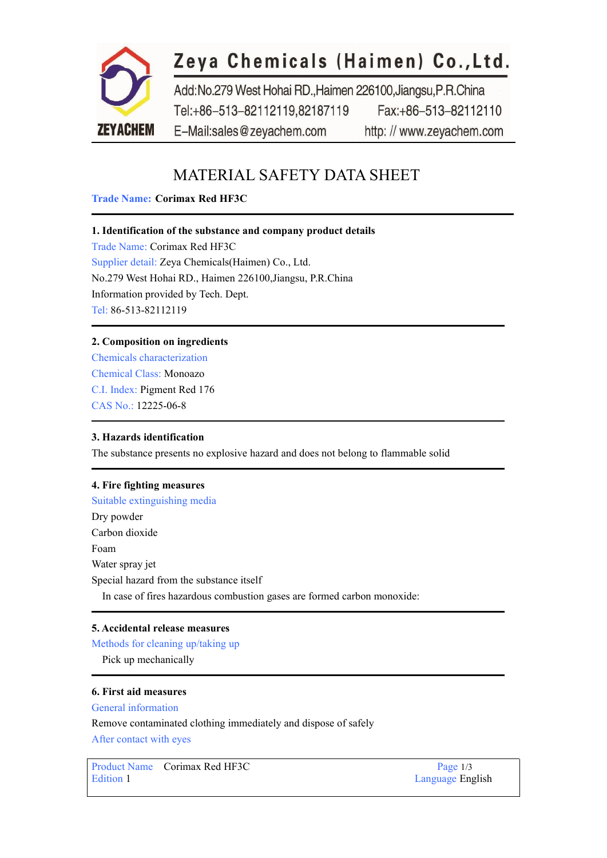

## MATERIAL SAFETY DATA SHEET

#### **Trade Name: Corimax Red HF3C**

#### **1. Identification of the substance and company product details**

Trade Name: Corimax Red HF3C Supplier detail: Zeya Chemicals(Haimen) Co., Ltd. No.279 West Hohai RD., Haimen 226100,Jiangsu, P.R.China Information provided by Tech. Dept. Tel: 86-513-82112119

#### **2. Composition on ingredients**

Chemicals characterization Chemical Class: Monoazo C.I. Index: [Pigment](https://www.zeyachem.net/pigment-red-176.html) Red 176 CAS No.: 12225-06-8

#### **3. Hazards identification**

The substance presents no explosive hazard and doesnot belong to flammable solid

#### **4. Fire fighting measures**

Suitable extinguishing media Dry powder Carbon dioxide Foam Water spray jet Special hazard from the substance itself In case of fires hazardous combustion gases are formed carbon monoxide:

#### **5. Accidental release measures**

Methods for cleaning up/taking up

Pick up mechanically

#### **6. First aid measures**

General information

Remove contaminated clothing immediately and dispose of safely

After contact with eyes

Product Name Corimax Red HF3C Page 1/3 Edition 1 Language English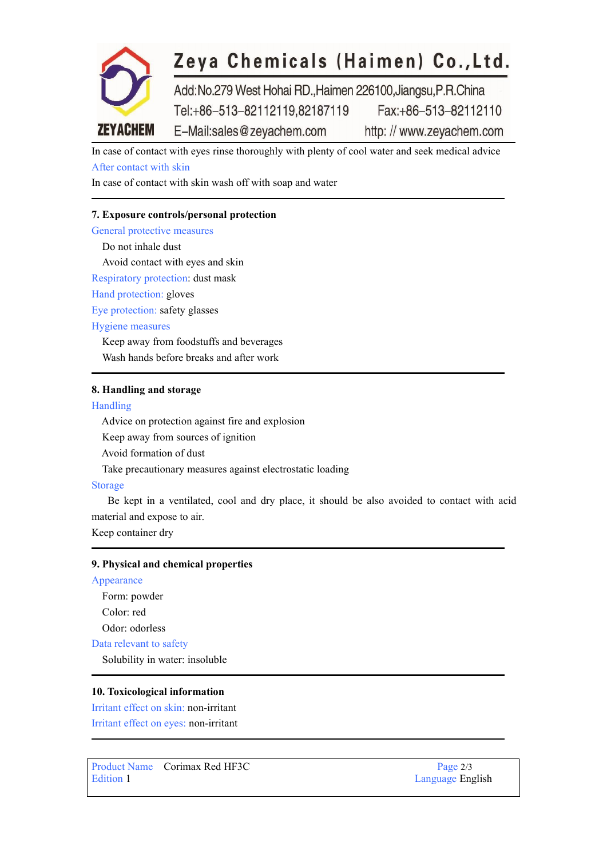

In case of contact with eyes rinse thoroughly with plenty of cool water and seek medical advice After contact with skin

In case of contact with skin wash off with soap and water

#### **7. Exposure controls/personal protection**

General protective measures Do not inhale dust Avoid contact with eyes and skin Respiratory protection: dust mask Hand protection: gloves Eye protection: safety glasses Hygiene measures Keep away from foodstuffs and beverages

Wash hands before breaks and after work

#### **8. Handling and storage**

#### Handling

Advice on protection against fire and explosion

Keep away from sources of ignition

Avoid formation of dust

Take precautionary measures against electrostatic loading

#### Storage

Be kept in a ventilated, cool and dry place, it should be also avoided to contact with acid material and expose to air.

Keep container dry

#### **9. Physical and chemical properties**

Appearance Form: powder Color: red Odor: odorless

Data relevant to safety

Solubility in water: insoluble

#### **10. Toxicological information**

Irritant effect on skin: non-irritant Irritant effect on eyes: non-irritant

Product Name Corimax Red HF3C Page 2/3 Edition 1 Language English